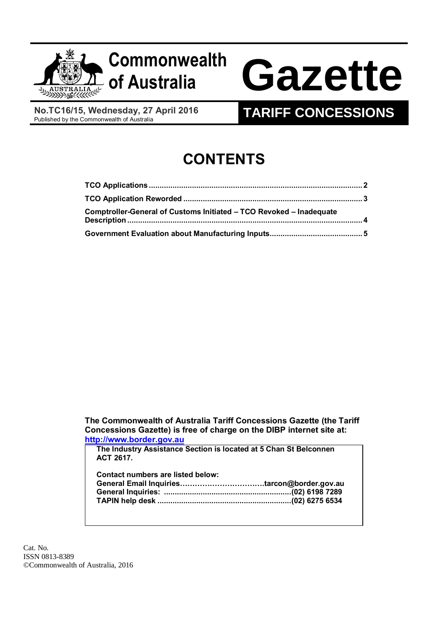

# **Commonwealth**

# **of Australia Gazette**

**No.TC16/15, Wednesday, 27 April 2016**<br>Published by the Commonwealth of Australia

# **TARIFF CONCESSIONS**

# **CONTENTS**

| Comptroller-General of Customs Initiated - TCO Revoked - Inadequate |  |
|---------------------------------------------------------------------|--|
|                                                                     |  |

**The Commonwealth of Australia Tariff Concessions Gazette (the Tariff Concessions Gazette) is free of charge on the DIBP internet site at: [http://www.border.gov.au](http://www.border.gov.au/)**

**The Industry Assistance Section is located at 5 Chan St Belconnen ACT 2617.**

| Contact numbers are listed below: |  |
|-----------------------------------|--|
|                                   |  |
|                                   |  |
|                                   |  |
|                                   |  |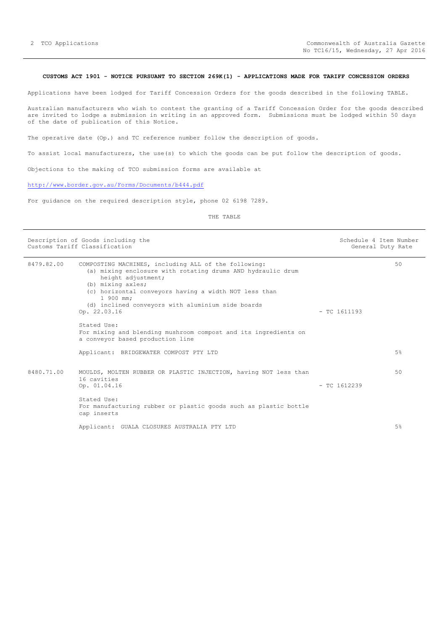# <span id="page-1-0"></span>**CUSTOMS ACT 1901 - NOTICE PURSUANT TO SECTION 269K(1) - APPLICATIONS MADE FOR TARIFF CONCESSION ORDERS**

Applications have been lodged for Tariff Concession Orders for the goods described in the following TABLE.

Australian manufacturers who wish to contest the granting of a Tariff Concession Order for the goods described are invited to lodge a submission in writing in an approved form. Submissions must be lodged within 50 days of the date of publication of this Notice.

The operative date (Op.) and TC reference number follow the description of goods.

To assist local manufacturers, the use(s) to which the goods can be put follow the description of goods.

Objections to the making of TCO submission forms are available at

# <http://www.border.gov.au/Forms/Documents/b444.pdf>

For guidance on the required description style, phone 02 6198 7289.

THE TABLE

| Description of Goods including the<br>Customs Tariff Classification |                                                                                                                                                                                                                                                                                                           |                | Schedule 4 Item Number<br>General Duty Rate |
|---------------------------------------------------------------------|-----------------------------------------------------------------------------------------------------------------------------------------------------------------------------------------------------------------------------------------------------------------------------------------------------------|----------------|---------------------------------------------|
| 8479.82.00                                                          | COMPOSTING MACHINES, including ALL of the following:<br>(a) mixing enclosure with rotating drums AND hydraulic drum<br>height adjustment;<br>(b) mixing axles;<br>(c) horizontal conveyors having a width NOT less than<br>1 900 mm;<br>(d) inclined conveyors with aluminium side boards<br>Op. 22.03.16 | $-$ TC 1611193 | 50                                          |
|                                                                     | Stated Use:<br>For mixing and blending mushroom compost and its ingredients on<br>a conveyor based production line                                                                                                                                                                                        |                |                                             |
|                                                                     | Applicant: BRIDGEWATER COMPOST PTY LTD                                                                                                                                                                                                                                                                    |                | 5%                                          |
| 8480.71.00                                                          | MOULDS, MOLTEN RUBBER OR PLASTIC INJECTION, having NOT less than<br>16 cavities<br>Op. 01.04.16<br>Stated Use:                                                                                                                                                                                            | $-$ TC 1612239 | 50                                          |
|                                                                     | For manufacturing rubber or plastic goods such as plastic bottle<br>cap inserts<br>Applicant: GUALA CLOSURES AUSTRALIA PTY LTD                                                                                                                                                                            |                | 5%                                          |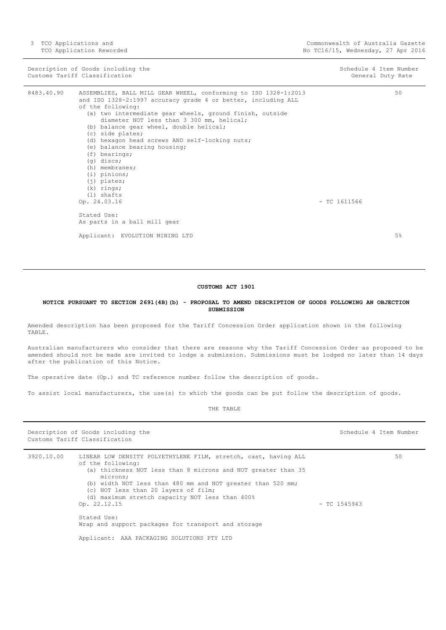3 TCO Applications and TCO Application Reworded

Description of Goods including the Schedule 4 Item Number<br>
Customs Tariff Classification (Seneral Duty Rate ) and Schedule 4 Item Number<br>
Customs Tariff Classification Customs Tariff Classification

| 8483.40.90 | ASSEMBLIES, BALL MILL GEAR WHEEL, conforming to ISO 1328-1:2013                                       |                |    |
|------------|-------------------------------------------------------------------------------------------------------|----------------|----|
|            | and ISO 1328-2:1997 accuracy grade 4 or better, including ALL                                         |                |    |
|            | of the following:                                                                                     |                |    |
|            | (a) two intermediate gear wheels, ground finish, outside<br>diameter NOT less than 3 300 mm, helical; |                |    |
|            | (b) balance gear wheel, double helical;                                                               |                |    |
|            | (c) side plates;                                                                                      |                |    |
|            | (d) hexagon head screws AND self-locking nuts;                                                        |                |    |
|            | (e) balance bearing housing;                                                                          |                |    |
|            | $(f)$ bearings;                                                                                       |                |    |
|            | $(q)$ discs;                                                                                          |                |    |
|            | (h) membranes;                                                                                        |                |    |
|            | (i) pinions;                                                                                          |                |    |
|            | $(i)$ plates;                                                                                         |                |    |
|            | $(k)$ rings;                                                                                          |                |    |
|            | $(1)$ shafts                                                                                          |                |    |
|            | Op. 24.03.16                                                                                          | $-$ TC 1611566 |    |
|            | Stated Use:                                                                                           |                |    |
|            | As parts in a ball mill gear                                                                          |                |    |
|            | Applicant: EVOLUTION MINING LTD                                                                       |                | 5% |
|            |                                                                                                       |                |    |

#### **CUSTOMS ACT 1901**

<span id="page-2-0"></span>**NOTICE PURSUANT TO SECTION 269l(4B)(b) - PROPOSAL TO AMEND DESCRIPTION OF GOODS FOLLOWING AN OBJECTION SUBMISSION**

Amended description has been proposed for the Tariff Concession Order application shown in the following TABLE.

Australian manufacturers who consider that there are reasons why the Tariff Concession Order as proposed to be amended should not be made are invited to lodge a submission. Submissions must be lodged no later than 14 days after the publication of this Notice.

The operative date (Op.) and TC reference number follow the description of goods.

To assist local manufacturers, the use(s) to which the goods can be put follow the description of goods.

Description of Goods including the Schedule 4 Item Number (Schedule 4 Item Number Customs Tariff Classification 3920.10.00 LINEAR LOW DENSITY POLYETHYLENE FILM, stretch, cast, having ALL of the following: (a) thickness NOT less than 8 microns and NOT greater than 35 microns; (b) width NOT less than 480 mm and NOT greater than 520 mm; (c) NOT less than 20 layers of film; (d) maximum stretch capacity NOT less than 400% Op. 22.12.15 - TC 1545943 Stated Use: Wrap and support packages for transport and storage Applicant: AAA PACKAGING SOLUTIONS PTY LTD 50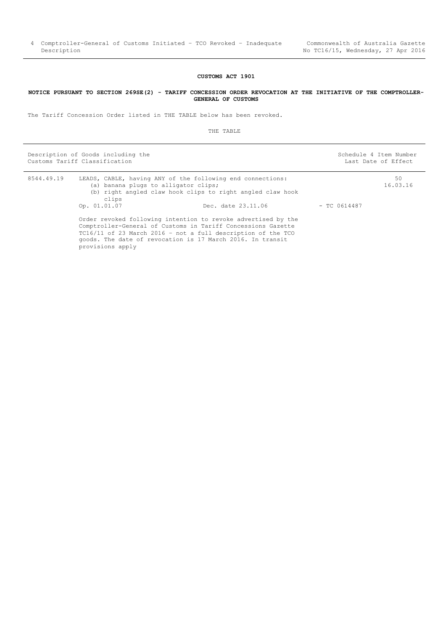# **CUSTOMS ACT 1901**

### <span id="page-3-0"></span>**NOTICE PURSUANT TO SECTION 269SE(2) - TARIFF CONCESSION ORDER REVOCATION AT THE INITIATIVE OF THE COMPTROLLER-GENERAL OF CUSTOMS**

The Tariff Concession Order listed in THE TABLE below has been revoked.

THE TABLE

Description of Goods including the Schedule 4 Item Number Schedule 4 Item Number Customs Tariff Classification **Last Date of Effect** Customs Tariff Classification

| 8544.49.19 | LEADS, CABLE, having ANY of the following end connections:<br>(a) banana plugs to alligator clips;<br>(b) right angled claw hook clips to right angled claw hook<br>clips                                                                                                       |                    | 50<br>16.03.16 |  |
|------------|---------------------------------------------------------------------------------------------------------------------------------------------------------------------------------------------------------------------------------------------------------------------------------|--------------------|----------------|--|
|            | Op. 01.01.07                                                                                                                                                                                                                                                                    | Dec. date 23.11.06 | $-$ TC 0614487 |  |
|            | Order revoked following intention to revoke advertised by the<br>Comptroller-General of Customs in Tariff Concessions Gazette<br>TC16/11 of 23 March 2016 - not a full description of the TCO<br>goods. The date of revocation is 17 March 2016. In transit<br>provisions apply |                    |                |  |